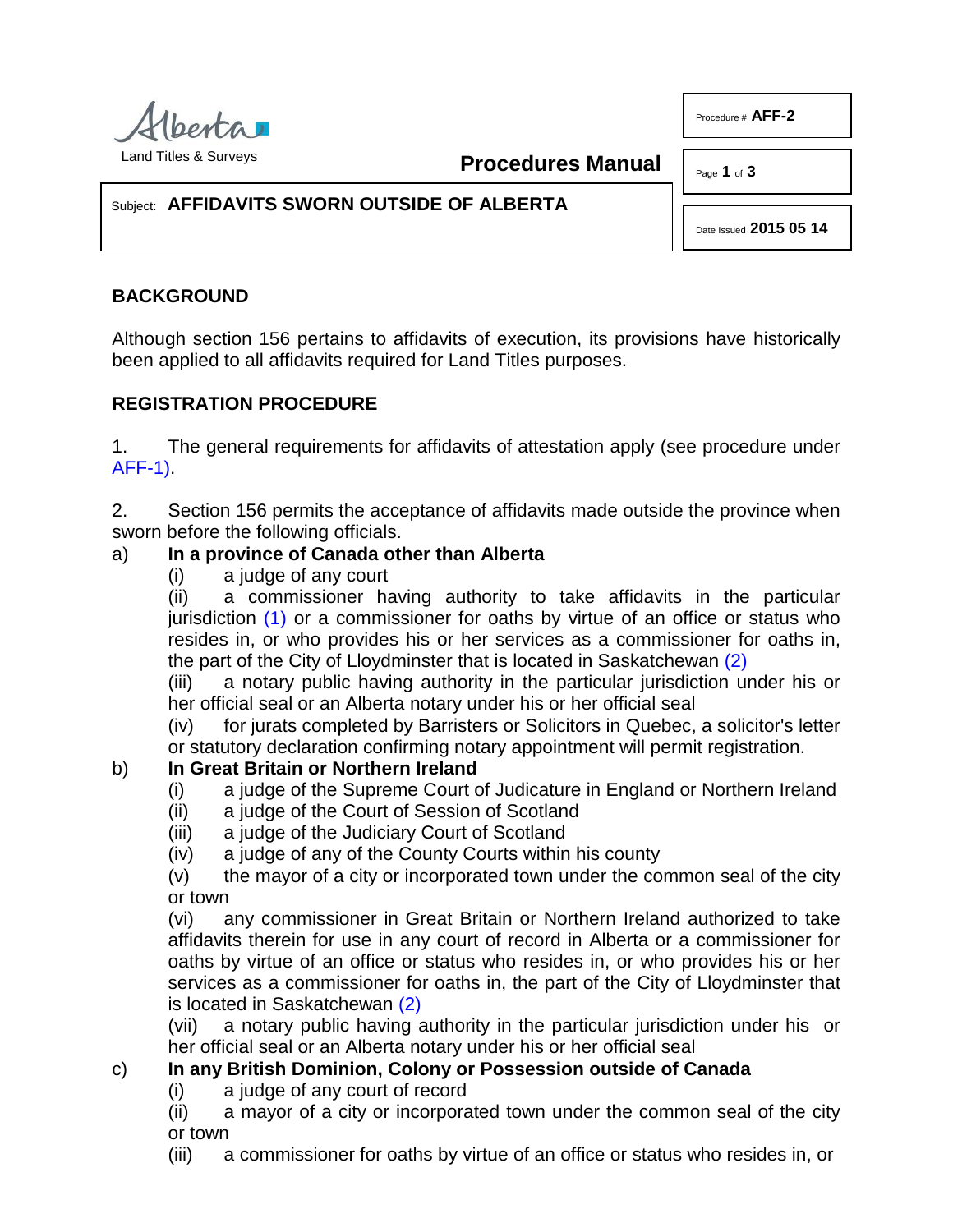

**Procedures Manual**

Page **1** of **3**

Procedure # **AFF-2**

# Subject: **AFFIDAVITS SWORN OUTSIDE OF ALBERTA**

Date Issued **2015 05 14**

# **BACKGROUND**

Although section 156 pertains to affidavits of execution, its provisions have historically been applied to all affidavits required for Land Titles purposes.

# **REGISTRATION PROCEDURE**

1. The general requirements for affidavits of attestation apply (see procedure under [AFF-1\).](http://www.servicealberta.ca/pdf/ltmanual/AFF-1.pdf)

2. Section 156 permits the acceptance of affidavits made outside the province when sworn before the following officials.

### a) **In a province of Canada other than Alberta**

(i) a judge of any court

<span id="page-0-1"></span><span id="page-0-0"></span>(ii) a commissioner having authority to take affidavits in the particular jurisdiction  $(1)$  or a commissioner for oaths by virtue of an office or status who resides in, or who provides his or her services as a commissioner for oaths in, the part of the City of Lloydminster that is located in Saskatchewan [\(2\)](#page-2-1)

(iii) a notary public having authority in the particular jurisdiction under his or her official seal or an Alberta notary under his or her official seal

(iv) for jurats completed by Barristers or Solicitors in Quebec, a solicitor's letter or statutory declaration confirming notary appointment will permit registration.

### b) **In Great Britain or Northern Ireland**

- (i) a judge of the Supreme Court of Judicature in England or Northern Ireland
- (ii) a judge of the Court of Session of Scotland
- (iii) a judge of the Judiciary Court of Scotland
- (iv) a judge of any of the County Courts within his county

(v) the mayor of a city or incorporated town under the common seal of the city or town

(vi) any commissioner in Great Britain or Northern Ireland authorized to take affidavits therein for use in any court of record in Alberta or a commissioner for oaths by virtue of an office or status who resides in, or who provides his or her services as a commissioner for oaths in, the part of the City of Lloydminster that is located in Saskatchewan [\(2\)](#page-2-1)

(vii) a notary public having authority in the particular jurisdiction under his or her official seal or an Alberta notary under his or her official seal

# c) **In any British Dominion, Colony or Possession outside of Canada**

(i) a judge of any court of record

(ii) a mayor of a city or incorporated town under the common seal of the city or town

(iii) a commissioner for oaths by virtue of an office or status who resides in, or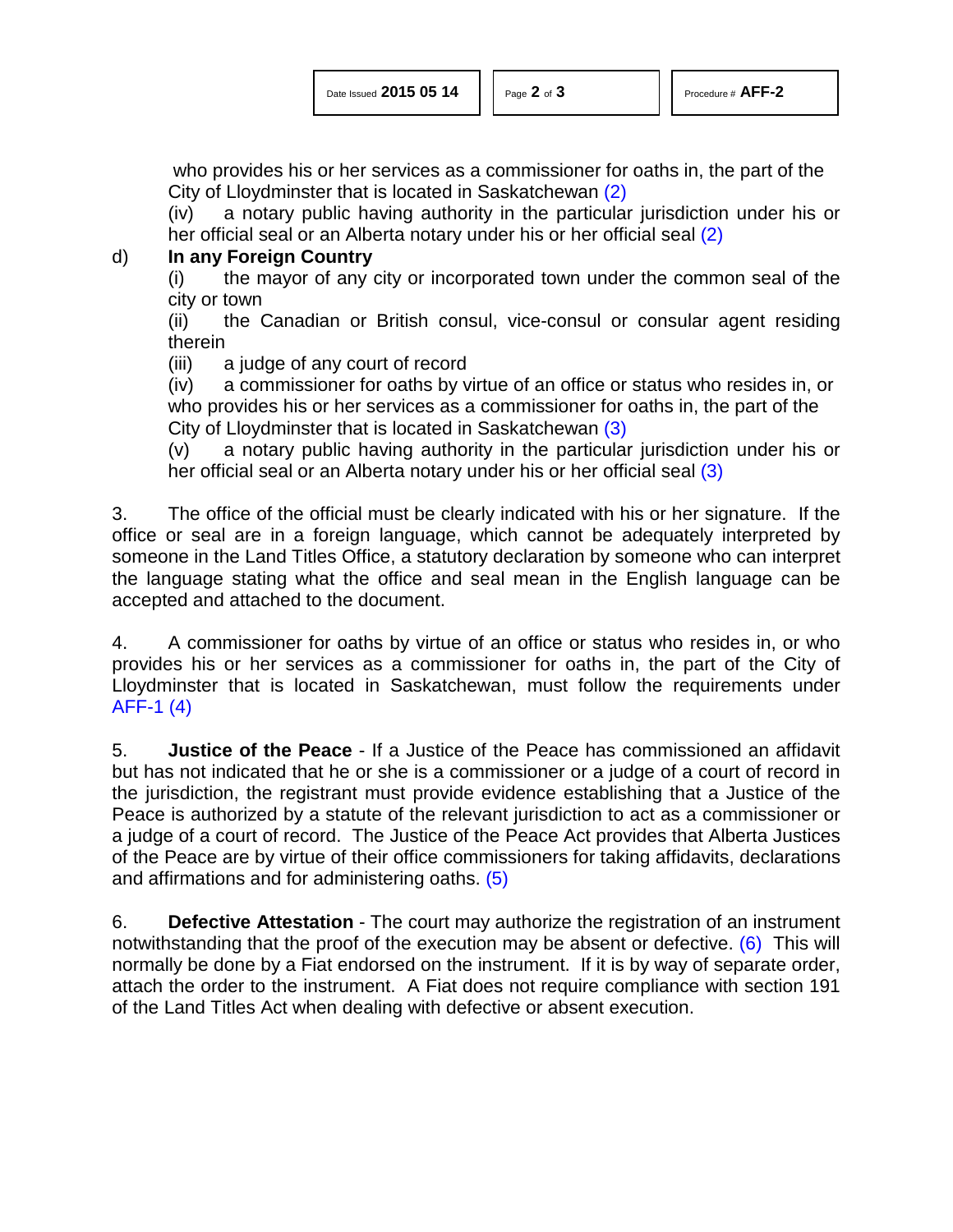who provides his or her services as a commissioner for oaths in, the part of the City of Lloydminster that is located in Saskatchewan [\(2\)](#page-2-1)

(iv) a notary public having authority in the particular jurisdiction under his or her official seal or an Alberta notary under his or her official seal [\(2\)](#page-2-1)

# d) **In any Foreign Country**

(i) the mayor of any city or incorporated town under the common seal of the city or town

(ii) the Canadian or British consul, vice-consul or consular agent residing therein

(iii) a judge of any court of record

(iv) a commissioner for oaths by virtue of an office or status who resides in, or who provides his or her services as a commissioner for oaths in, the part of the City of Lloydminster that is located in Saskatchewan [\(3\)](#page-2-2)

<span id="page-1-0"></span>(v) a notary public having authority in the particular jurisdiction under his or her official seal or an Alberta notary under his or her official seal [\(3\)](#page-2-2)

3. The office of the official must be clearly indicated with his or her signature. If the office or seal are in a foreign language, which cannot be adequately interpreted by someone in the Land Titles Office, a statutory declaration by someone who can interpret the language stating what the office and seal mean in the English language can be accepted and attached to the document.

4. A commissioner for oaths by virtue of an office or status who resides in, or who provides his or her services as a commissioner for oaths in, the part of the City of Lloydminster that is located in Saskatchewan, must follow the requirements under [AFF-1](http://www.servicealberta.ca/pdf/ltmanual/AFF-1.pdf) [\(4\)](#page-2-3)

<span id="page-1-1"></span>5. **Justice of the Peace** - If a Justice of the Peace has commissioned an affidavit but has not indicated that he or she is a commissioner or a judge of a court of record in the jurisdiction, the registrant must provide evidence establishing that a Justice of the Peace is authorized by a statute of the relevant jurisdiction to act as a commissioner or a judge of a court of record. The Justice of the Peace Act provides that Alberta Justices of the Peace are by virtue of their office commissioners for taking affidavits, declarations and affirmations and for administering oaths. [\(5\)](#page-2-4)

<span id="page-1-3"></span><span id="page-1-2"></span>6. **Defective Attestation** - The court may authorize the registration of an instrument notwithstanding that the proof of the execution may be absent or defective. [\(6\)](#page-2-5) This will normally be done by a Fiat endorsed on the instrument. If it is by way of separate order, attach the order to the instrument. A Fiat does not require compliance with section 191 of the Land Titles Act when dealing with defective or absent execution.